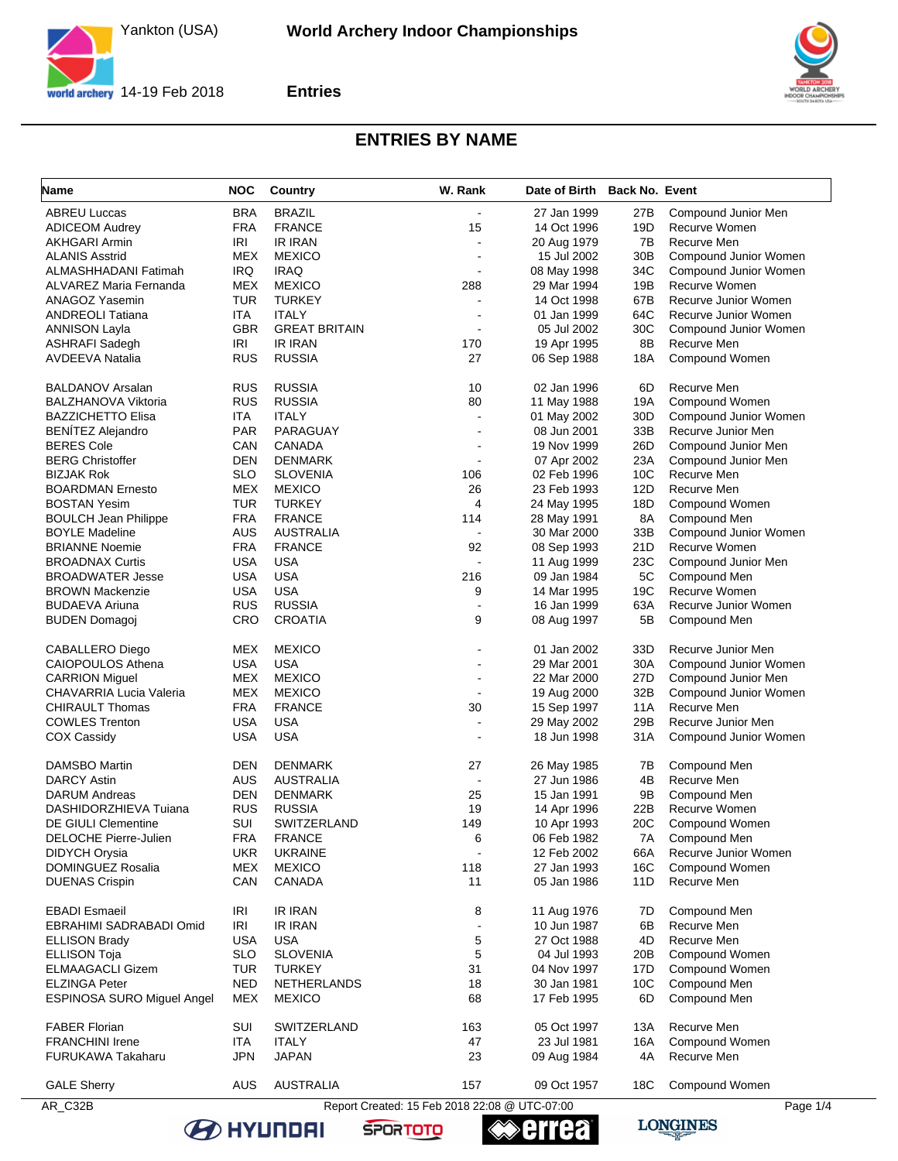Yankton (USA)



**Entries**



## **ENTRIES BY NAME**

| Name                              | NOC        | <b>Country</b>       | W. Rank                                       | Date of Birth Back No. Event |                 |                       |
|-----------------------------------|------------|----------------------|-----------------------------------------------|------------------------------|-----------------|-----------------------|
| <b>ABREU Luccas</b>               | <b>BRA</b> | <b>BRAZIL</b>        | $\overline{a}$                                | 27 Jan 1999                  | 27B             | Compound Junior Men   |
| <b>ADICEOM Audrey</b>             | <b>FRA</b> | <b>FRANCE</b>        | 15                                            | 14 Oct 1996                  | 19D             | Recurve Women         |
| AKHGARI Armin                     | IRI        | <b>IR IRAN</b>       | $\blacksquare$                                | 20 Aug 1979                  | 7B              | Recurve Men           |
| <b>ALANIS Asstrid</b>             | <b>MEX</b> | <b>MEXICO</b>        | ÷,                                            | 15 Jul 2002                  | 30 <sub>B</sub> | Compound Junior Women |
| ALMASHHADANI Fatimah              | IRQ        | <b>IRAQ</b>          |                                               | 08 May 1998                  | 34C             | Compound Junior Women |
| ALVAREZ Maria Fernanda            | <b>MEX</b> | <b>MEXICO</b>        | 288                                           | 29 Mar 1994                  | 19B             | Recurve Women         |
| ANAGOZ Yasemin                    | <b>TUR</b> | <b>TURKEY</b>        |                                               | 14 Oct 1998                  | 67B             | Recurve Junior Women  |
| <b>ANDREOLI Tatiana</b>           | ITA        | <b>ITALY</b>         | ۰                                             | 01 Jan 1999                  | 64C             | Recurve Junior Women  |
| <b>ANNISON Layla</b>              | <b>GBR</b> | <b>GREAT BRITAIN</b> | $\overline{a}$                                | 05 Jul 2002                  | 30C             | Compound Junior Women |
| <b>ASHRAFI Sadegh</b>             | <b>IRI</b> | <b>IR IRAN</b>       | 170                                           | 19 Apr 1995                  | 8B              | Recurve Men           |
| <b>AVDEEVA Natalia</b>            | <b>RUS</b> | <b>RUSSIA</b>        | 27                                            | 06 Sep 1988                  | 18A             | Compound Women        |
| <b>BALDANOV Arsalan</b>           | <b>RUS</b> | <b>RUSSIA</b>        | 10                                            | 02 Jan 1996                  | 6D              | Recurve Men           |
| <b>BALZHANOVA Viktoria</b>        | <b>RUS</b> | <b>RUSSIA</b>        | 80                                            | 11 May 1988                  | 19A             | Compound Women        |
| <b>BAZZICHETTO Elisa</b>          | ITA        | <b>ITALY</b>         | $\overline{a}$                                | 01 May 2002                  | 30D             | Compound Junior Women |
| <b>BENÍTEZ Alejandro</b>          | <b>PAR</b> | PARAGUAY             | ÷                                             | 08 Jun 2001                  | 33B             | Recurve Junior Men    |
| <b>BERES Cole</b>                 | CAN        | CANADA               |                                               | 19 Nov 1999                  | 26D             | Compound Junior Men   |
| <b>BERG Christoffer</b>           | <b>DEN</b> | <b>DENMARK</b>       | $\blacksquare$                                | 07 Apr 2002                  | 23A             | Compound Junior Men   |
| <b>BIZJAK Rok</b>                 | <b>SLO</b> | <b>SLOVENIA</b>      | 106                                           | 02 Feb 1996                  | 10C             | Recurve Men           |
| <b>BOARDMAN Ernesto</b>           | <b>MEX</b> | <b>MEXICO</b>        | 26                                            | 23 Feb 1993                  | 12D             | Recurve Men           |
| <b>BOSTAN Yesim</b>               | TUR        | <b>TURKEY</b>        | 4                                             | 24 May 1995                  | 18D             | Compound Women        |
| <b>BOULCH Jean Philippe</b>       | <b>FRA</b> | <b>FRANCE</b>        | 114                                           | 28 May 1991                  | 8A              | Compound Men          |
| <b>BOYLE Madeline</b>             | <b>AUS</b> | <b>AUSTRALIA</b>     | $\blacksquare$                                | 30 Mar 2000                  | 33B             | Compound Junior Women |
| <b>BRIANNE Noemie</b>             | <b>FRA</b> | <b>FRANCE</b>        | 92                                            | 08 Sep 1993                  | 21D             | Recurve Women         |
| <b>BROADNAX Curtis</b>            | <b>USA</b> | <b>USA</b>           | $\overline{a}$                                | 11 Aug 1999                  | 23C             | Compound Junior Men   |
| <b>BROADWATER Jesse</b>           | <b>USA</b> | <b>USA</b>           | 216                                           | 09 Jan 1984                  | 5C              | Compound Men          |
| <b>BROWN Mackenzie</b>            | <b>USA</b> | <b>USA</b>           | 9                                             | 14 Mar 1995                  | 19C             | Recurve Women         |
| <b>BUDAEVA Ariuna</b>             | <b>RUS</b> | <b>RUSSIA</b>        | $\overline{a}$                                | 16 Jan 1999                  | 63A             | Recurve Junior Women  |
| <b>BUDEN Domagoj</b>              | <b>CRO</b> | <b>CROATIA</b>       | 9                                             | 08 Aug 1997                  | 5B              | Compound Men          |
| CABALLERO Diego                   | <b>MEX</b> | <b>MEXICO</b>        |                                               | 01 Jan 2002                  | 33D             | Recurve Junior Men    |
| CAIOPOULOS Athena                 | <b>USA</b> | <b>USA</b>           | $\blacksquare$                                | 29 Mar 2001                  | 30A             | Compound Junior Women |
| <b>CARRION Miguel</b>             | <b>MEX</b> | <b>MEXICO</b>        |                                               | 22 Mar 2000                  | 27D             | Compound Junior Men   |
| CHAVARRIA Lucia Valeria           | <b>MEX</b> | <b>MEXICO</b>        | ä,                                            | 19 Aug 2000                  | 32B             | Compound Junior Women |
| <b>CHIRAULT Thomas</b>            | <b>FRA</b> | <b>FRANCE</b>        | 30                                            | 15 Sep 1997                  | 11A             | Recurve Men           |
| <b>COWLES Trenton</b>             | <b>USA</b> | <b>USA</b>           | $\blacksquare$                                | 29 May 2002                  | 29B             | Recurve Junior Men    |
| <b>COX Cassidy</b>                | <b>USA</b> | <b>USA</b>           | $\overline{a}$                                | 18 Jun 1998                  | 31A             | Compound Junior Women |
| <b>DAMSBO Martin</b>              | <b>DEN</b> | <b>DENMARK</b>       | 27                                            | 26 May 1985                  | 7В              | Compound Men          |
| <b>DARCY Astin</b>                | AUS        | <b>AUSTRALIA</b>     | $\blacksquare$                                | 27 Jun 1986                  | 4B              | Recurve Men           |
| <b>DARUM Andreas</b>              | <b>DEN</b> | <b>DENMARK</b>       | 25                                            | 15 Jan 1991                  | 9B              | Compound Men          |
| DASHIDORZHIEVA Tuiana             | <b>RUS</b> | <b>RUSSIA</b>        | 19                                            | 14 Apr 1996                  | 22B             | Recurve Women         |
| DE GIULI Clementine               | SUI        | SWITZERLAND          | 149                                           | 10 Apr 1993                  | 20C             | Compound Women        |
| DELOCHE Pierre-Julien             | <b>FRA</b> | <b>FRANCE</b>        | 6                                             | 06 Feb 1982                  | 7A              | Compound Men          |
| <b>DIDYCH Orysia</b>              | <b>UKR</b> | <b>UKRAINE</b>       | $\blacksquare$                                | 12 Feb 2002                  | 66A             | Recurve Junior Women  |
| DOMINGUEZ Rosalia                 | <b>MEX</b> | <b>MEXICO</b>        | 118                                           | 27 Jan 1993                  | 16C             | Compound Women        |
| <b>DUENAS Crispin</b>             | CAN        | CANADA               | 11                                            | 05 Jan 1986                  | 11D             | Recurve Men           |
| <b>EBADI</b> Esmaeil              | <b>IRI</b> | <b>IR IRAN</b>       | 8                                             | 11 Aug 1976                  | 7D              | Compound Men          |
| EBRAHIMI SADRABADI Omid           | IRI        | <b>IR IRAN</b>       | $\overline{a}$                                | 10 Jun 1987                  | 6B              | Recurve Men           |
| <b>ELLISON Brady</b>              | <b>USA</b> | <b>USA</b>           | 5                                             | 27 Oct 1988                  | 4D              | Recurve Men           |
| <b>ELLISON Toja</b>               | <b>SLO</b> | <b>SLOVENIA</b>      | 5                                             | 04 Jul 1993                  | 20B             | Compound Women        |
| <b>ELMAAGACLI Gizem</b>           | TUR        | <b>TURKEY</b>        | 31                                            | 04 Nov 1997                  | 17D             | Compound Women        |
| <b>ELZINGA Peter</b>              | <b>NED</b> | NETHERLANDS          | 18                                            | 30 Jan 1981                  | 10 <sub>C</sub> | Compound Men          |
| <b>ESPINOSA SURO Miguel Angel</b> | <b>MEX</b> | <b>MEXICO</b>        | 68                                            | 17 Feb 1995                  | 6D              | Compound Men          |
| <b>FABER Florian</b>              | SUI        | SWITZERLAND          | 163                                           | 05 Oct 1997                  | 13A             | Recurve Men           |
| <b>FRANCHINI Irene</b>            | ITA        | <b>ITALY</b>         | 47                                            | 23 Jul 1981                  | 16A             | Compound Women        |
| <b>FURUKAWA Takaharu</b>          | <b>JPN</b> | <b>JAPAN</b>         | 23                                            | 09 Aug 1984                  | 4A              | Recurve Men           |
| <b>GALE Sherry</b>                | AUS        | <b>AUSTRALIA</b>     | 157                                           | 09 Oct 1957                  | 18C             | Compound Women        |
| AR_C32B                           |            |                      | Report Created: 15 Feb 2018 22:08 @ UTC-07:00 |                              |                 | Page 1/4              |

**≪errea** 

**SPORTOTO** 

**B** HYUNDAI

**LONGINES**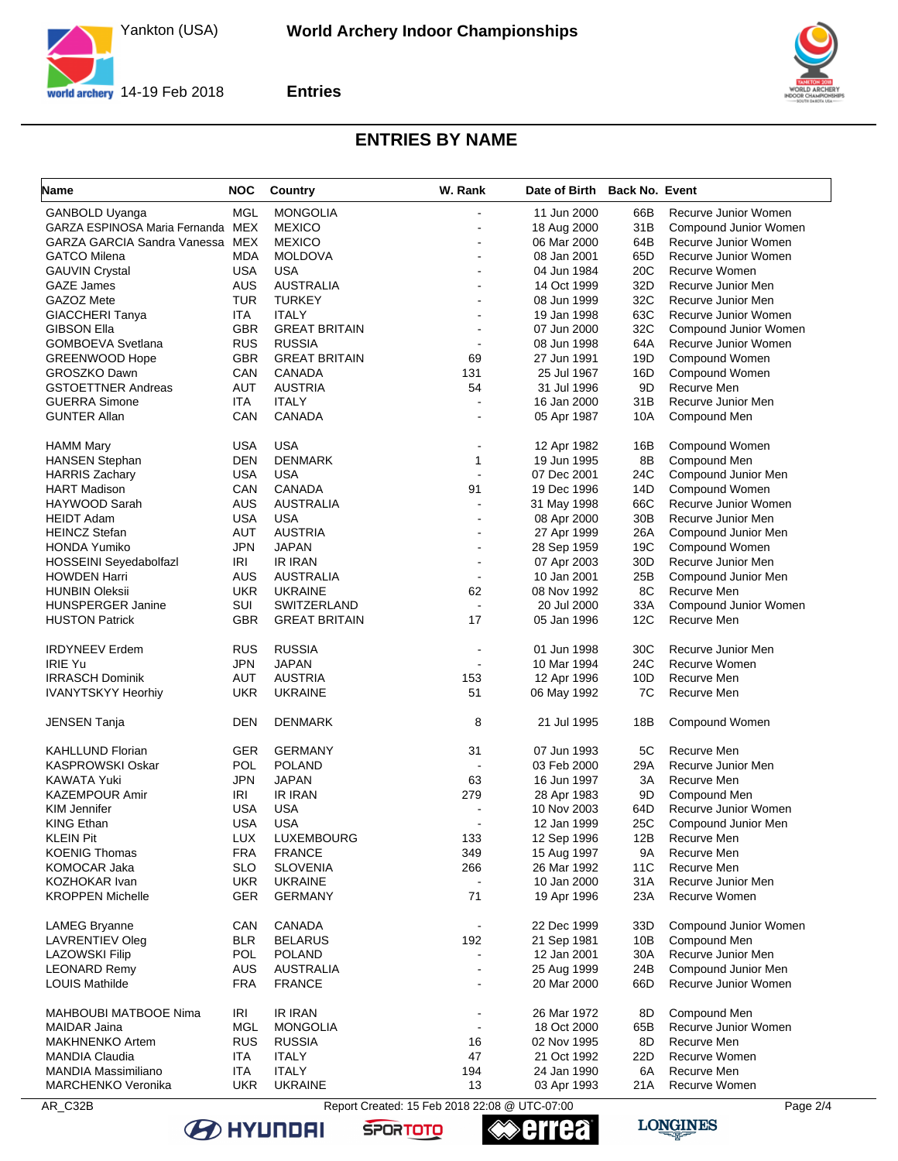Yankton (USA)



**Entries**



## **ENTRIES BY NAME**

| <b>Name</b>                            | <b>NOC</b> | Country              | W. Rank                  | Date of Birth Back No. Event |     |                       |
|----------------------------------------|------------|----------------------|--------------------------|------------------------------|-----|-----------------------|
| GANBOLD Uyanga                         | MGL        | <b>MONGOLIA</b>      |                          | 11 Jun 2000                  | 66B | Recurve Junior Women  |
| GARZA ESPINOSA Maria Fernanda MEX      |            | <b>MEXICO</b>        |                          | 18 Aug 2000                  | 31B | Compound Junior Women |
| <b>GARZA GARCIA Sandra Vanessa MEX</b> |            | <b>MEXICO</b>        | ä,                       | 06 Mar 2000                  | 64B | Recurve Junior Women  |
| <b>GATCO Milena</b>                    | <b>MDA</b> | <b>MOLDOVA</b>       |                          | 08 Jan 2001                  | 65D | Recurve Junior Women  |
| <b>GAUVIN Crystal</b>                  | <b>USA</b> | <b>USA</b>           |                          | 04 Jun 1984                  | 20C | Recurve Women         |
| <b>GAZE James</b>                      | AUS        | <b>AUSTRALIA</b>     |                          | 14 Oct 1999                  | 32D | Recurve Junior Men    |
| GAZOZ Mete                             | <b>TUR</b> | <b>TURKEY</b>        |                          | 08 Jun 1999                  | 32C | Recurve Junior Men    |
| <b>GIACCHERI Tanya</b>                 | ITA        | <b>ITALY</b>         |                          | 19 Jan 1998                  | 63C | Recurve Junior Women  |
| <b>GIBSON Ella</b>                     | <b>GBR</b> | <b>GREAT BRITAIN</b> |                          | 07 Jun 2000                  | 32C | Compound Junior Women |
| <b>GOMBOEVA Svetlana</b>               | <b>RUS</b> | <b>RUSSIA</b>        | $\blacksquare$           | 08 Jun 1998                  | 64A | Recurve Junior Women  |
| <b>GREENWOOD Hope</b>                  | <b>GBR</b> | <b>GREAT BRITAIN</b> | 69                       | 27 Jun 1991                  | 19D | Compound Women        |
| <b>GROSZKO Dawn</b>                    | CAN        | <b>CANADA</b>        | 131                      | 25 Jul 1967                  | 16D | Compound Women        |
| <b>GSTOETTNER Andreas</b>              | <b>AUT</b> | <b>AUSTRIA</b>       | 54                       | 31 Jul 1996                  | 9D  | Recurve Men           |
| <b>GUERRA Simone</b>                   | ITA        | <b>ITALY</b>         | $\overline{a}$           | 16 Jan 2000                  | 31B | Recurve Junior Men    |
| <b>GUNTER Allan</b>                    | CAN        | <b>CANADA</b>        | $\overline{a}$           | 05 Apr 1987                  | 10A | Compound Men          |
| <b>HAMM Mary</b>                       | <b>USA</b> | <b>USA</b>           |                          | 12 Apr 1982                  | 16B | Compound Women        |
| <b>HANSEN Stephan</b>                  | <b>DEN</b> | <b>DENMARK</b>       | 1                        | 19 Jun 1995                  | 8B  | Compound Men          |
| <b>HARRIS Zachary</b>                  | <b>USA</b> | <b>USA</b>           |                          | 07 Dec 2001                  | 24C | Compound Junior Men   |
| <b>HART Madison</b>                    | CAN        | <b>CANADA</b>        | 91                       | 19 Dec 1996                  | 14D | Compound Women        |
| HAYWOOD Sarah                          | AUS        | <b>AUSTRALIA</b>     | $\overline{a}$           | 31 May 1998                  | 66C | Recurve Junior Women  |
| <b>HEIDT Adam</b>                      | <b>USA</b> | <b>USA</b>           |                          | 08 Apr 2000                  | 30B | Recurve Junior Men    |
| <b>HEINCZ Stefan</b>                   | AUT        | <b>AUSTRIA</b>       | L,                       | 27 Apr 1999                  | 26A | Compound Junior Men   |
| <b>HONDA Yumiko</b>                    | <b>JPN</b> | <b>JAPAN</b>         | $\overline{\phantom{a}}$ | 28 Sep 1959                  | 19C | Compound Women        |
| <b>HOSSEINI Seyedabolfazl</b>          | IRI        | <b>IR IRAN</b>       |                          | 07 Apr 2003                  | 30D | Recurve Junior Men    |
| <b>HOWDEN Harri</b>                    | AUS        | <b>AUSTRALIA</b>     | $\sim$                   | 10 Jan 2001                  | 25B | Compound Junior Men   |
| <b>HUNBIN Oleksii</b>                  | <b>UKR</b> | <b>UKRAINE</b>       | 62                       | 08 Nov 1992                  | 8C  | Recurve Men           |
| HUNSPERGER Janine                      | SUI        | SWITZERLAND          | $\mathbf{r}$             | 20 Jul 2000                  | 33A | Compound Junior Women |
| <b>HUSTON Patrick</b>                  | <b>GBR</b> | <b>GREAT BRITAIN</b> | 17                       | 05 Jan 1996                  | 12C | Recurve Men           |
|                                        |            |                      |                          |                              |     |                       |
| <b>IRDYNEEV Erdem</b>                  | <b>RUS</b> | <b>RUSSIA</b>        | ÷,                       | 01 Jun 1998                  | 30C | Recurve Junior Men    |
| <b>IRIE Yu</b>                         | <b>JPN</b> | <b>JAPAN</b>         | ÷,                       | 10 Mar 1994                  | 24C | Recurve Women         |
| <b>IRRASCH Dominik</b>                 | AUT        | <b>AUSTRIA</b>       | 153                      | 12 Apr 1996                  | 10D | Recurve Men           |
| <b>IVANYTSKYY Heorhiy</b>              | <b>UKR</b> | <b>UKRAINE</b>       | 51                       | 06 May 1992                  | 7C  | Recurve Men           |
| <b>JENSEN Tanja</b>                    | <b>DEN</b> | <b>DENMARK</b>       | 8                        | 21 Jul 1995                  | 18B | Compound Women        |
| <b>KAHLLUND Florian</b>                | <b>GER</b> | <b>GERMANY</b>       | 31                       | 07 Jun 1993                  | 5C  | Recurve Men           |
| <b>KASPROWSKI Oskar</b>                | <b>POL</b> | <b>POLAND</b>        | $\blacksquare$           | 03 Feb 2000                  | 29A | Recurve Junior Men    |
| <b>KAWATA Yuki</b>                     | JPN        | <b>JAPAN</b>         | 63                       | 16 Jun 1997                  | 3A  | Recurve Men           |
| <b>KAZEMPOUR Amir</b>                  | IRI        | <b>IR IRAN</b>       | 279                      | 28 Apr 1983                  | 9D  | Compound Men          |
| <b>KIM Jennifer</b>                    | <b>USA</b> | <b>USA</b>           |                          | 10 Nov 2003                  | 64D | Recurve Junior Women  |
| <b>KING Ethan</b>                      | <b>USA</b> | <b>USA</b>           |                          | 12 Jan 1999                  | 25C | Compound Junior Men   |
| <b>KLEIN Pit</b>                       | <b>LUX</b> | LUXEMBOURG           | 133                      | 12 Sep 1996                  | 12B | Recurve Men           |
| <b>KOENIG Thomas</b>                   | <b>FRA</b> | <b>FRANCE</b>        | 349                      | 15 Aug 1997                  | 9Α  | Recurve Men           |
| <b>KOMOCAR Jaka</b>                    | <b>SLO</b> | <b>SLOVENIA</b>      | 266                      | 26 Mar 1992                  | 11C | Recurve Men           |
| <b>KOZHOKAR Ivan</b>                   | <b>UKR</b> | <b>UKRAINE</b>       |                          | 10 Jan 2000                  | 31A | Recurve Junior Men    |
| <b>KROPPEN Michelle</b>                | GER        | <b>GERMANY</b>       | 71                       | 19 Apr 1996                  | 23A | Recurve Women         |
| LAMEG Bryanne                          | CAN        | CANADA               |                          | 22 Dec 1999                  | 33D | Compound Junior Women |
| <b>LAVRENTIEV Oleg</b>                 | <b>BLR</b> | <b>BELARUS</b>       | 192                      | 21 Sep 1981                  | 10B | Compound Men          |
| <b>LAZOWSKI Filip</b>                  | POL        | <b>POLAND</b>        | $\overline{a}$           | 12 Jan 2001                  | 30A | Recurve Junior Men    |
| <b>LEONARD Remy</b>                    | <b>AUS</b> | <b>AUSTRALIA</b>     | $\blacksquare$           | 25 Aug 1999                  | 24B | Compound Junior Men   |
| <b>LOUIS Mathilde</b>                  | <b>FRA</b> | <b>FRANCE</b>        | ä,                       | 20 Mar 2000                  | 66D | Recurve Junior Women  |
| <b>MAHBOUBI MATBOOE Nima</b>           | IRI        | <b>IR IRAN</b>       | ÷,                       | 26 Mar 1972                  | 8D  | Compound Men          |
| <b>MAIDAR Jaina</b>                    | MGL        | <b>MONGOLIA</b>      | $\overline{a}$           | 18 Oct 2000                  | 65B | Recurve Junior Women  |
| <b>MAKHNENKO Artem</b>                 | <b>RUS</b> | <b>RUSSIA</b>        | 16                       | 02 Nov 1995                  | 8D  | Recurve Men           |
| <b>MANDIA Claudia</b>                  | <b>ITA</b> | <b>ITALY</b>         | 47                       | 21 Oct 1992                  | 22D | Recurve Women         |
| <b>MANDIA Massimiliano</b>             | ITA        | <b>ITALY</b>         | 194                      | 24 Jan 1990                  | 6A  | Recurve Men           |
| <b>MARCHENKO Veronika</b>              | <b>UKR</b> | <b>UKRAINE</b>       | 13                       | 03 Apr 1993                  | 21A | Recurve Women         |
|                                        |            |                      |                          |                              |     |                       |

AR\_C32B Report Created: 15 Feb 2018 22:08 @ UTC-07:00

**errea** 

**SPORTOTO** 



LONGINES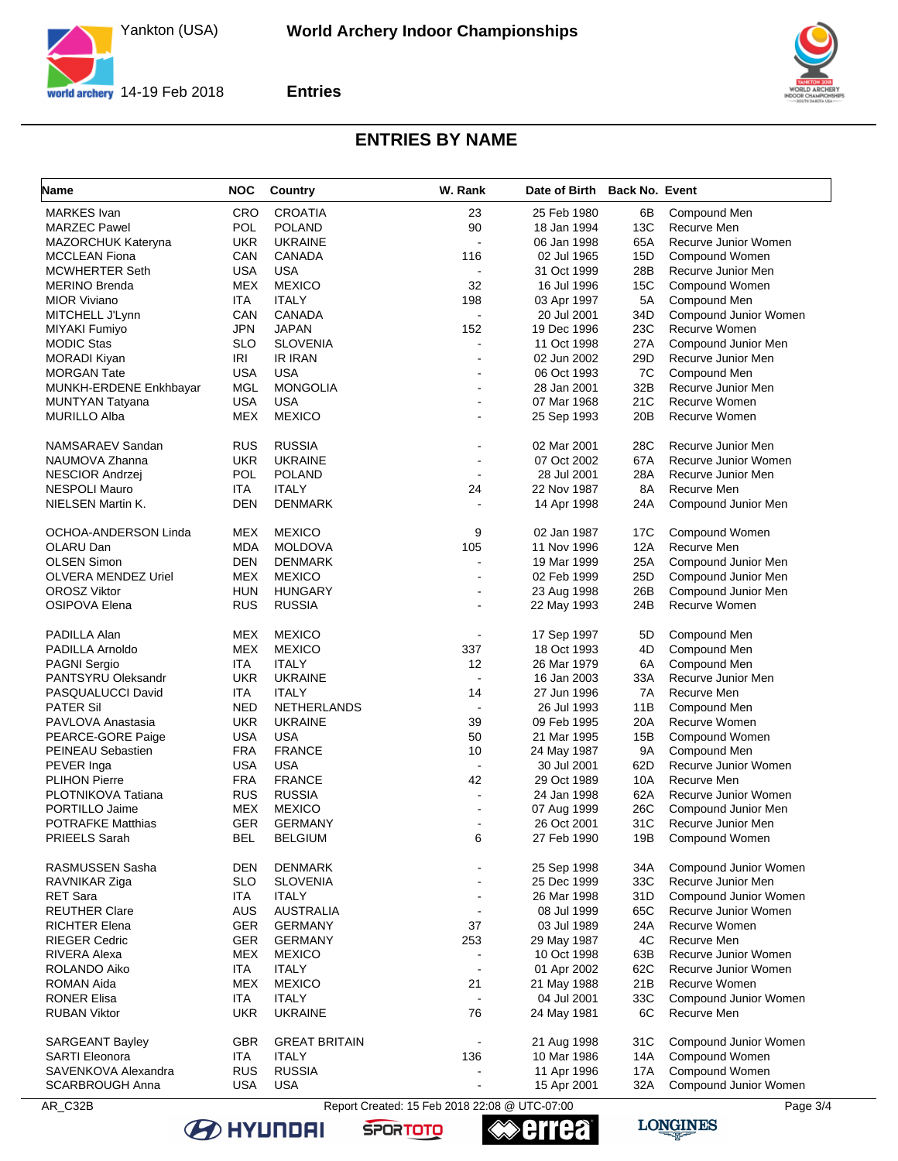Yankton (USA)



**Entries**



## **ENTRIES BY NAME**

| Name                        | <b>NOC</b> | Country              | W. Rank                  | Date of Birth Back No. Event |      |                       |
|-----------------------------|------------|----------------------|--------------------------|------------------------------|------|-----------------------|
| <b>MARKES</b> Ivan          | <b>CRO</b> | <b>CROATIA</b>       | 23                       | 25 Feb 1980                  | 6B   | Compound Men          |
| <b>MARZEC Pawel</b>         | <b>POL</b> | <b>POLAND</b>        | 90                       | 18 Jan 1994                  | 13C  | Recurve Men           |
| MAZORCHUK Kateryna          | <b>UKR</b> | <b>UKRAINE</b>       | ÷,                       | 06 Jan 1998                  | 65A  | Recurve Junior Women  |
| <b>MCCLEAN Fiona</b>        | CAN        | CANADA               | 116                      | 02 Jul 1965                  | 15D  | Compound Women        |
| <b>MCWHERTER Seth</b>       | <b>USA</b> | <b>USA</b>           | $\ddot{\phantom{0}}$     | 31 Oct 1999                  | 28B  | Recurve Junior Men    |
| <b>MERINO Brenda</b>        | <b>MEX</b> | <b>MEXICO</b>        | 32                       | 16 Jul 1996                  | 15C  | Compound Women        |
| <b>MIOR Viviano</b>         | ITA        | <b>ITALY</b>         | 198                      | 03 Apr 1997                  | 5A   | Compound Men          |
| MITCHELL J'Lynn             | CAN        | CANADA               | ÷,                       | 20 Jul 2001                  | 34D  | Compound Junior Women |
| MIYAKI Fumiyo               | <b>JPN</b> | <b>JAPAN</b>         | 152                      | 19 Dec 1996                  | 23C  | Recurve Women         |
| <b>MODIC Stas</b>           | <b>SLO</b> | <b>SLOVENIA</b>      |                          | 11 Oct 1998                  | 27 A | Compound Junior Men   |
| <b>MORADI Kiyan</b>         | <b>IRI</b> | <b>IR IRAN</b>       |                          | 02 Jun 2002                  | 29D  | Recurve Junior Men    |
| <b>MORGAN Tate</b>          | <b>USA</b> | <b>USA</b>           | $\sim$                   | 06 Oct 1993                  | 7C   | Compound Men          |
| MUNKH-ERDENE Enkhbayar      | MGL        | <b>MONGOLIA</b>      |                          | 28 Jan 2001                  | 32B  | Recurve Junior Men    |
| MUNTYAN Tatyana             | <b>USA</b> | <b>USA</b>           |                          | 07 Mar 1968                  | 21C  | Recurve Women         |
| <b>MURILLO Alba</b>         | <b>MEX</b> | <b>MEXICO</b>        |                          | 25 Sep 1993                  | 20B  | Recurve Women         |
| NAMSARAEV Sandan            | <b>RUS</b> | <b>RUSSIA</b>        |                          | 02 Mar 2001                  | 28C  | Recurve Junior Men    |
| NAUMOVA Zhanna              | <b>UKR</b> | <b>UKRAINE</b>       | $\sim$                   | 07 Oct 2002                  | 67A  | Recurve Junior Women  |
| <b>NESCIOR Andrzej</b>      | <b>POL</b> | <b>POLAND</b>        |                          | 28 Jul 2001                  | 28A  | Recurve Junior Men    |
| <b>NESPOLI Mauro</b>        | ITA        | <b>ITALY</b>         | 24                       | 22 Nov 1987                  | 8A   | Recurve Men           |
| NIELSEN Martin K.           | <b>DEN</b> | <b>DENMARK</b>       |                          | 14 Apr 1998                  | 24A  | Compound Junior Men   |
| <b>OCHOA-ANDERSON Linda</b> | <b>MEX</b> | <b>MEXICO</b>        | 9                        | 02 Jan 1987                  | 17C  | Compound Women        |
| OLARU Dan                   | <b>MDA</b> | <b>MOLDOVA</b>       | 105                      | 11 Nov 1996                  | 12A  | Recurve Men           |
| <b>OLSEN Simon</b>          | <b>DEN</b> | <b>DENMARK</b>       | $\overline{\phantom{a}}$ | 19 Mar 1999                  | 25A  | Compound Junior Men   |
| OLVERA MENDEZ Uriel         | <b>MEX</b> | <b>MEXICO</b>        | $\overline{a}$           | 02 Feb 1999                  | 25D  | Compound Junior Men   |
| <b>OROSZ Viktor</b>         | <b>HUN</b> | <b>HUNGARY</b>       |                          | 23 Aug 1998                  | 26B  | Compound Junior Men   |
| OSIPOVA Elena               | <b>RUS</b> | <b>RUSSIA</b>        |                          | 22 May 1993                  | 24B  | Recurve Women         |
| PADILLA Alan                | <b>MEX</b> | <b>MEXICO</b>        |                          | 17 Sep 1997                  | 5D   | Compound Men          |
| PADILLA Arnoldo             | <b>MEX</b> | <b>MEXICO</b>        | 337                      | 18 Oct 1993                  | 4D   | Compound Men          |
| <b>PAGNI Sergio</b>         | ITA        | <b>ITALY</b>         | 12                       | 26 Mar 1979                  | 6A   | Compound Men          |
| PANTSYRU Oleksandr          | <b>UKR</b> | <b>UKRAINE</b>       |                          | 16 Jan 2003                  | 33A  | Recurve Junior Men    |
| PASQUALUCCI David           | ITA        | <b>ITALY</b>         | 14                       | 27 Jun 1996                  | 7A   | Recurve Men           |
| <b>PATER Sil</b>            | <b>NED</b> | NETHERLANDS          | $\blacksquare$           | 26 Jul 1993                  | 11B  | Compound Men          |
| PAVLOVA Anastasia           | <b>UKR</b> | <b>UKRAINE</b>       | 39                       | 09 Feb 1995                  | 20A  | Recurve Women         |
| PEARCE-GORE Paige           | <b>USA</b> | <b>USA</b>           | 50                       | 21 Mar 1995                  | 15B  | Compound Women        |
| PEINEAU Sebastien           | <b>FRA</b> | <b>FRANCE</b>        | 10                       | 24 May 1987                  | 9A   | Compound Men          |
| PEVER Inga                  | <b>USA</b> | USA                  | $\blacksquare$           | 30 Jul 2001                  | 62D  | Recurve Junior Women  |
| <b>PLIHON Pierre</b>        | <b>FRA</b> | <b>FRANCE</b>        | 42                       | 29 Oct 1989                  | 10A  | Recurve Men           |
| PLOTNIKOVA Tatiana          | <b>RUS</b> | <b>RUSSIA</b>        | $\overline{a}$           | 24 Jan 1998                  | 62A  | Recurve Junior Women  |
| PORTILLO Jaime              | <b>MEX</b> | <b>MEXICO</b>        |                          | 07 Aug 1999                  | 26C  | Compound Junior Men   |
| <b>POTRAFKE Matthias</b>    | <b>GER</b> | <b>GERMANY</b>       |                          | 26 Oct 2001                  | 31C  | Recurve Junior Men    |
| PRIEELS Sarah               | <b>BEL</b> | <b>BELGIUM</b>       | 6                        | 27 Feb 1990                  | 19B  | Compound Women        |
| RASMUSSEN Sasha             | <b>DEN</b> | <b>DENMARK</b>       |                          | 25 Sep 1998                  | 34A  | Compound Junior Women |
| RAVNIKAR Ziga               | <b>SLO</b> | <b>SLOVENIA</b>      |                          | 25 Dec 1999                  | 33C  | Recurve Junior Men    |
| <b>RET Sara</b>             | <b>ITA</b> | <b>ITALY</b>         |                          | 26 Mar 1998                  | 31D  | Compound Junior Women |
| <b>REUTHER Clare</b>        | AUS        | <b>AUSTRALIA</b>     | $\blacksquare$           | 08 Jul 1999                  | 65C  | Recurve Junior Women  |
| <b>RICHTER Elena</b>        | GER        | <b>GERMANY</b>       | 37                       | 03 Jul 1989                  | 24A  | Recurve Women         |
| <b>RIEGER Cedric</b>        | <b>GER</b> | <b>GERMANY</b>       | 253                      | 29 May 1987                  | 4C   | Recurve Men           |
| RIVERA Alexa                | <b>MEX</b> | <b>MEXICO</b>        | $\blacksquare$           | 10 Oct 1998                  | 63B  | Recurve Junior Women  |
| ROLANDO Aiko                | ITA        | <b>ITALY</b>         | $\overline{\phantom{a}}$ | 01 Apr 2002                  | 62C  | Recurve Junior Women  |
| <b>ROMAN Aida</b>           | <b>MEX</b> | <b>MEXICO</b>        | 21                       | 21 May 1988                  | 21B  | Recurve Women         |
| <b>RONER Elisa</b>          | <b>ITA</b> | <b>ITALY</b>         | $\blacksquare$           | 04 Jul 2001                  | 33C  | Compound Junior Women |
| <b>RUBAN Viktor</b>         | <b>UKR</b> | <b>UKRAINE</b>       | 76                       | 24 May 1981                  | 6C   | Recurve Men           |
| <b>SARGEANT Bayley</b>      | <b>GBR</b> | <b>GREAT BRITAIN</b> | $\blacksquare$           | 21 Aug 1998                  | 31C  | Compound Junior Women |
| <b>SARTI Eleonora</b>       | <b>ITA</b> | <b>ITALY</b>         | 136                      | 10 Mar 1986                  | 14A  | Compound Women        |
| SAVENKOVA Alexandra         | <b>RUS</b> | <b>RUSSIA</b>        |                          | 11 Apr 1996                  | 17A  | Compound Women        |
| <b>SCARBROUGH Anna</b>      | <b>USA</b> | <b>USA</b>           |                          | 15 Apr 2001                  | 32A  | Compound Junior Women |

AR\_C32B Report Created: 15 Feb 2018 22:08 @ UTC-07:00 Page 3/4

**SPORTOTO** 

**B** HYUNDAI